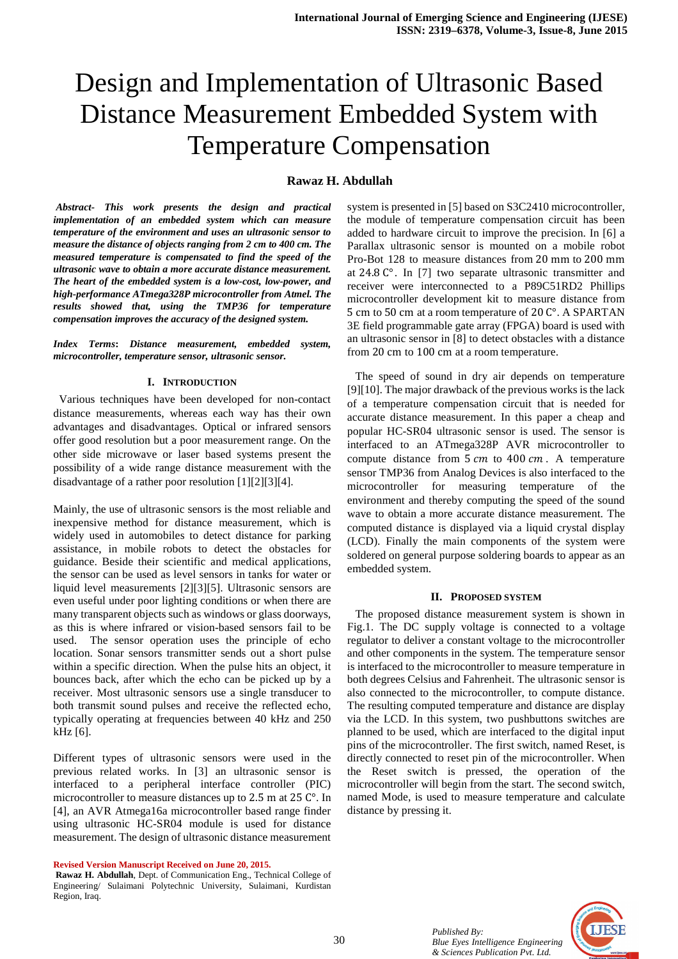# Design and Implementation of Ultrasonic Based Distance Measurement Embedded System with Temperature Compensation

# **Rawaz H. Abdullah**

 *Abstract- This work presents the design and practical implementation of an embedded system which can measure temperature of the environment and uses an ultrasonic sensor to measure the distance of objects ranging from 2 cm to 400 cm. The measured temperature is compensated to find the speed of the ultrasonic wave to obtain a more accurate distance measurement. The heart of the embedded system is a low-cost, low-power, and high-performance ATmega328P microcontroller from Atmel. The results showed that, using the TMP36 for temperature compensation improves the accuracy of the designed system.* 

*Index Terms***:** *Distance measurement, embedded system, microcontroller, temperature sensor, ultrasonic sensor.* 

#### **I. INTRODUCTION**

 Various techniques have been developed for non-contact distance measurements, whereas each way has their own advantages and disadvantages. Optical or infrared sensors offer good resolution but a poor measurement range. On the other side microwave or laser based systems present the possibility of a wide range distance measurement with the disadvantage of a rather poor resolution [1][2][3][4].

Mainly, the use of ultrasonic sensors is the most reliable and inexpensive method for distance measurement, which is widely used in automobiles to detect distance for parking assistance, in mobile robots to detect the obstacles for guidance. Beside their scientific and medical applications, the sensor can be used as level sensors in tanks for water or liquid level measurements [2][3][5]. Ultrasonic sensors are even useful under poor lighting conditions or when there are many transparent objects such as windows or glass doorways, as this is where infrared or vision-based sensors fail to be used. The sensor operation uses the principle of echo location. Sonar sensors transmitter sends out a short pulse within a specific direction. When the pulse hits an object, it bounces back, after which the echo can be picked up by a receiver. Most ultrasonic sensors use a single transducer to both transmit sound pulses and receive the reflected echo, typically operating at frequencies between 40 kHz and 250 kHz [6].

Different types of ultrasonic sensors were used in the previous related works. In [3] an ultrasonic sensor is interfaced to a peripheral interface controller (PIC) microcontroller to measure distances up to 2.5 m at 25 °C. In [4], an AVR Atmega16a microcontroller based range finder using ultrasonic HC-SR04 module is used for distance measurement. The design of ultrasonic distance measurement

**Revised Version Manuscript Received on June 20, 2015.** 

system is presented in [5] based on S3C2410 microcontroller, the module of temperature compensation circuit has been added to hardware circuit to improve the precision. In [6] a Parallax ultrasonic sensor is mounted on a mobile robot Pro-Bot 128 to measure distances from 20 mm to 200 mm at 24.8 C°. In [7] two separate ultrasonic transmitter and receiver were interconnected to a P89C51RD2 Phillips microcontroller development kit to measure distance from 5 cm to 50 cm at a room temperature of 20 C°. A SPARTAN 3E field programmable gate array (FPGA) board is used with an ultrasonic sensor in [8] to detect obstacles with a distance from 20 cm to 100 cm at a room temperature.

The speed of sound in dry air depends on temperature [9][10]. The major drawback of the previous works is the lack of a temperature compensation circuit that is needed for accurate distance measurement. In this paper a cheap and popular HC-SR04 ultrasonic sensor is used. The sensor is interfaced to an ATmega328P AVR microcontroller to compute distance from  $5 \, \text{cm}$  to  $400 \, \text{cm}$ . A temperature sensor TMP36 from Analog Devices is also interfaced to the microcontroller for measuring temperature of the environment and thereby computing the speed of the sound wave to obtain a more accurate distance measurement. The computed distance is displayed via a liquid crystal display (LCD). Finally the main components of the system were soldered on general purpose soldering boards to appear as an embedded system.

#### **II. PROPOSED SYSTEM**

The proposed distance measurement system is shown in Fig.1. The DC supply voltage is connected to a voltage regulator to deliver a constant voltage to the microcontroller and other components in the system. The temperature sensor is interfaced to the microcontroller to measure temperature in both degrees Celsius and Fahrenheit. The ultrasonic sensor is also connected to the microcontroller, to compute distance. The resulting computed temperature and distance are display via the LCD. In this system, two pushbuttons switches are planned to be used, which are interfaced to the digital input pins of the microcontroller. The first switch, named Reset, is directly connected to reset pin of the microcontroller. When the Reset switch is pressed, the operation of the microcontroller will begin from the start. The second switch, named Mode, is used to measure temperature and calculate distance by pressing it.



**Rawaz H. Abdullah**, Dept. of Communication Eng., Technical College of Engineering/ Sulaimani Polytechnic University, Sulaimani, Kurdistan Region, Iraq.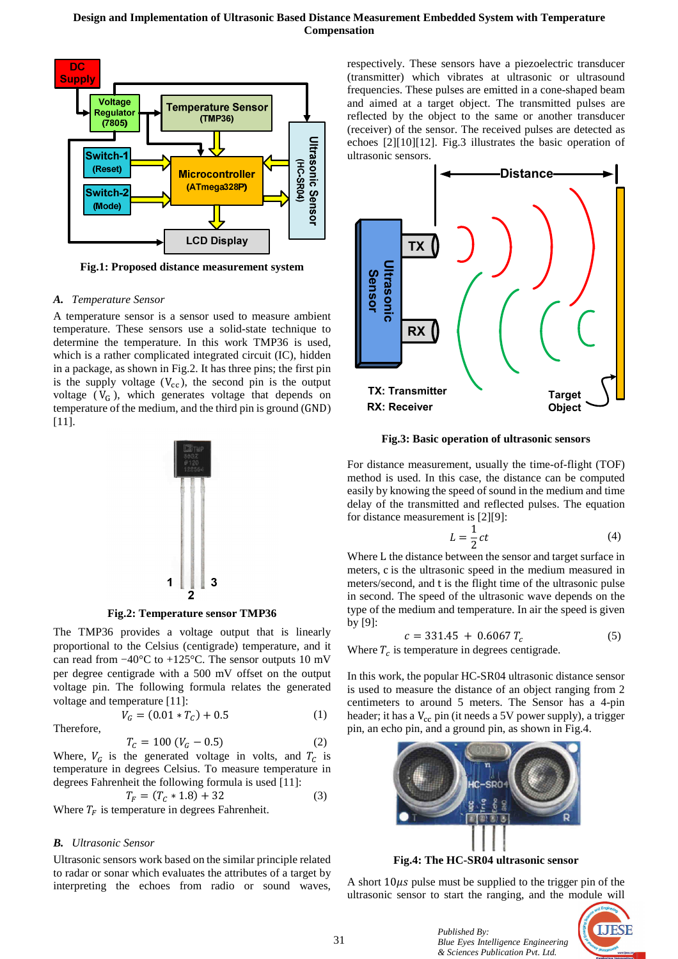

**Fig.1: Proposed distance measurement system**

## *A. Temperature Sensor*

A temperature sensor is a sensor used to measure ambient temperature. These sensors use a solid-state technique to determine the temperature. In this work TMP36 is used, which is a rather complicated integrated circuit (IC), hidden in a package, as shown in Fig.2. It has three pins; the first pin is the supply voltage  $(V_{cc})$ , the second pin is the output voltage ( $V_G$ ), which generates voltage that depends on temperature of the medium, and the third pin is ground (GND) [11].



**Fig.2: Temperature sensor TMP36**

The TMP36 provides a voltage output that is linearly proportional to the Celsius (centigrade) temperature, and it can read from −40°C to +125°C. The sensor outputs 10 mV per degree centigrade with a 500 mV offset on the output voltage pin. The following formula relates the generated voltage and temperature [11]:

Therefore,

$$
T_c = 100 (V_G - 0.5)
$$
 (2)

 $V_G = (0.01 * T_C) + 0.5$  (1)

Where,  $V_c$  is the generated voltage in volts, and  $T_c$  is temperature in degrees Celsius. To measure temperature in degrees Fahrenheit the following formula is used [11]:

$$
T_F = (T_C * 1.8) + 32
$$
\n(3)

Where  $T_F$  is temperature in degrees Fahrenheit.

## *B. Ultrasonic Sensor*

Ultrasonic sensors work based on the similar principle related to radar or sonar which evaluates the attributes of a target by interpreting the echoes from radio or sound waves,

respectively. These sensors have a piezoelectric transducer (transmitter) which vibrates at ultrasonic or ultrasound frequencies. These pulses are emitted in a cone-shaped beam and aimed at a target object. The transmitted pulses are reflected by the object to the same or another transducer (receiver) of the sensor. The received pulses are detected as echoes [2][10][12]. Fig.3 illustrates the basic operation of ultrasonic sensors.



**Fig.3: Basic operation of ultrasonic sensors**

For distance measurement, usually the time-of-flight (TOF) method is used. In this case, the distance can be computed easily by knowing the speed of sound in the medium and time delay of the transmitted and reflected pulses. The equation for distance measurement is [2][9]:

$$
L = \frac{1}{2}ct
$$
 (4)

Where L the distance between the sensor and target surface in meters, c is the ultrasonic speed in the medium measured in meters/second, and t is the flight time of the ultrasonic pulse in second. The speed of the ultrasonic wave depends on the type of the medium and temperature. In air the speed is given by [9]:

$$
c = 331.45 + 0.6067 T_c \tag{5}
$$

Where  $T_c$  is temperature in degrees centigrade.

In this work, the popular HC-SR04 ultrasonic distance sensor is used to measure the distance of an object ranging from 2 centimeters to around 5 meters. The Sensor has a 4-pin header; it has a  $V_{cc}$  pin (it needs a 5V power supply), a trigger pin, an echo pin, and a ground pin, as shown in Fig.4.



**Fig.4: The HC-SR04 ultrasonic sensor**

A short  $10\mu s$  pulse must be supplied to the trigger pin of the ultrasonic sensor to start the ranging, and the module will

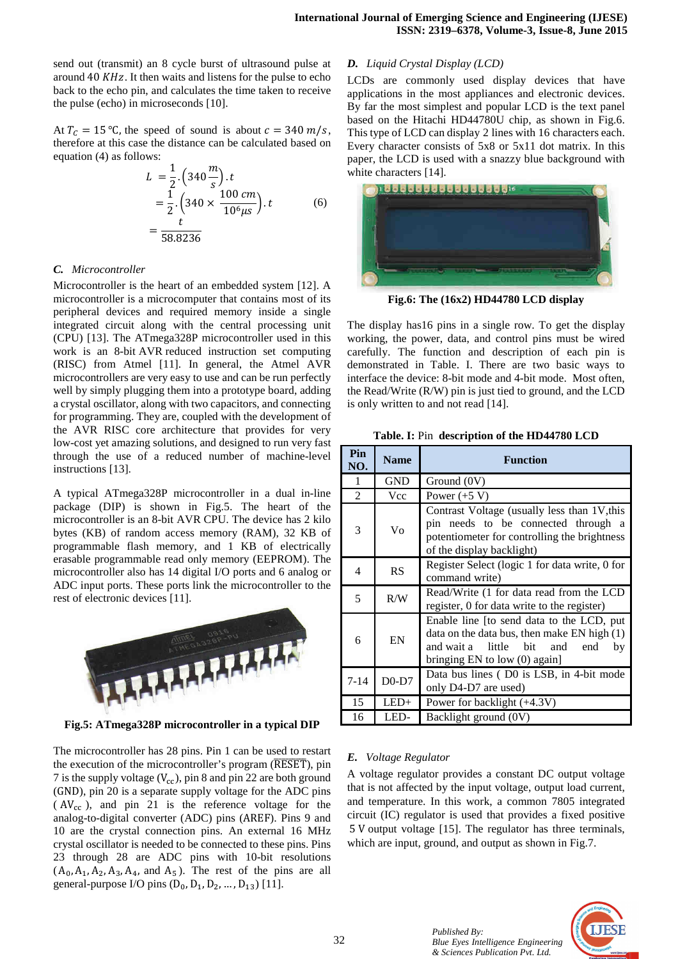send out (transmit) an 8 cycle burst of ultrasound pulse at around  $40$  KHz. It then waits and listens for the pulse to echo back to the echo pin, and calculates the time taken to receive the pulse (echo) in microseconds [10].

At  $T_c = 15$  °C, the speed of sound is about  $c = 340$  m/s, therefore at this case the distance can be calculated based on equation (4) as follows:

$$
L = \frac{1}{2} \cdot \left( 340 \frac{m}{s} \right) \cdot t
$$
  
=  $\frac{1}{2} \cdot \left( 340 \times \frac{100 \text{ cm}}{10^6 \mu s} \right) \cdot t$  (6)  
=  $\frac{t}{58.8236}$ 

## *C. Microcontroller*

Microcontroller is the heart of an embedded system [12]. A microcontroller is a microcomputer that contains most of its peripheral devices and required memory inside a single integrated circuit along with the central processing unit (CPU) [13]. The ATmega328P microcontroller used in this work is an 8-bit AVR reduced instruction set computing (RISC) from Atmel [11]. In general, the Atmel AVR microcontrollers are very easy to use and can be run perfectly well by simply plugging them into a prototype board, adding a crystal oscillator, along with two capacitors, and connecting for programming. They are, coupled with the development of the AVR RISC core architecture that provides for very low-cost yet amazing solutions, and designed to run very fast through the use of a reduced number of machine-level instructions [13].

A typical ATmega328P microcontroller in a dual in-line package (DIP) is shown in Fig.5. The heart of the microcontroller is an 8-bit AVR CPU. The device has 2 kilo bytes (KB) of random access memory (RAM), 32 KB of programmable flash memory, and 1 KB of electrically erasable programmable read only memory (EEPROM). The microcontroller also has 14 digital I/O ports and 6 analog or ADC input ports. These ports link the microcontroller to the rest of electronic devices [11].



**Fig.5: ATmega328P microcontroller in a typical DIP**

The microcontroller has 28 pins. Pin 1 can be used to restart the execution of the microcontroller's program (RESET), pin 7 is the supply voltage  $(V_{cc})$ , pin 8 and pin 22 are both ground (GND), pin 20 is a separate supply voltage for the ADC pins  $(AV<sub>cc</sub>)$ , and pin 21 is the reference voltage for the analog-to-digital converter (ADC) pins (AREF). Pins 9 and 10 are the crystal connection pins. An external 16 MHz crystal oscillator is needed to be connected to these pins. Pins 23 through 28 are ADC pins with 10-bit resolutions  $(A_0, A_1, A_2, A_3, A_4,$  and  $A_5$ ). The rest of the pins are all general-purpose I/O pins  $(D_0, D_1, D_2, ..., D_{13})$  [11].

## *D. Liquid Crystal Display (LCD)*

LCDs are commonly used display devices that have applications in the most appliances and electronic devices. By far the most simplest and popular LCD is the text panel based on the Hitachi HD44780U chip, as shown in Fig.6. This type of LCD can display 2 lines with 16 characters each. Every character consists of 5x8 or 5x11 dot matrix. In this paper, the LCD is used with a snazzy blue background with white characters [14].



**Fig.6: The (16x2) HD44780 LCD display**

The display has16 pins in a single row. To get the display working, the power, data, and control pins must be wired carefully. The function and description of each pin is demonstrated in Table. I. There are two basic ways to interface the device: 8-bit mode and 4-bit mode. Most often, the Read/Write (R/W) pin is just tied to ground, and the LCD is only written to and not read [14].

| Table. I: Pin description of the HD44780 LCD |
|----------------------------------------------|
|----------------------------------------------|

| Pin<br>NO. | <b>Name</b> | <b>Function</b>                                                                                                                                                                |
|------------|-------------|--------------------------------------------------------------------------------------------------------------------------------------------------------------------------------|
| 1          | GND         | Ground (0V)                                                                                                                                                                    |
| 2          | <b>Vcc</b>  | Power $(+5 V)$                                                                                                                                                                 |
| 3          | Vo          | Contrast Voltage (usually less than 1V, this<br>pin needs to be connected through a<br>potentiometer for controlling the brightness<br>of the display backlight)               |
| 4          | RS          | Register Select (logic 1 for data write, 0 for<br>command write)                                                                                                               |
| 5          | R/W         | Read/Write (1 for data read from the LCD<br>register, 0 for data write to the register)                                                                                        |
| 6          | EN          | Enable line [to send data to the LCD, put<br>data on the data bus, then make $EN$ high $(1)$<br>and wait a little bit<br>and<br>end<br>by<br>bringing $EN$ to low $(0)$ again] |
| $7 - 14$   | $D0-D7$     | Data bus lines (D0 is LSB, in 4-bit mode<br>only D4-D7 are used)                                                                                                               |
| 15         | $LED+$      | Power for backlight (+4.3V)                                                                                                                                                    |
| 16         | LED-        | Backlight ground (0V)                                                                                                                                                          |

# *E. Voltage Regulator*

A voltage regulator provides a constant DC output voltage that is not affected by the input voltage, output load current, and temperature. In this work, a common 7805 integrated circuit (IC) regulator is used that provides a fixed positive 5 V output voltage [15]. The regulator has three terminals, which are input, ground, and output as shown in Fig.7.

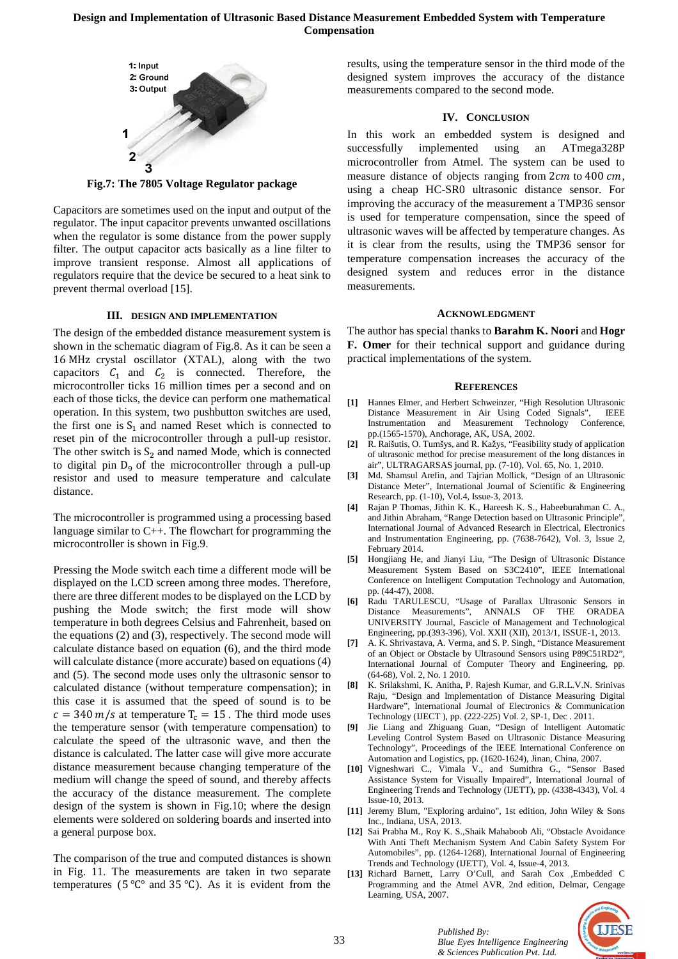

**Fig.7: The 7805 Voltage Regulator package**

Capacitors are sometimes used on the input and output of the regulator. The input capacitor prevents unwanted oscillations when the regulator is some distance from the power supply filter. The output capacitor acts basically as a line filter to improve transient response. Almost all applications of regulators require that the device be secured to a heat sink to prevent thermal overload [15].

#### **III. DESIGN AND IMPLEMENTATION**

The design of the embedded distance measurement system is shown in the schematic diagram of Fig.8. As it can be seen a 16 MHz crystal oscillator (XTAL), along with the two capacitors  $C_1$  and  $C_2$  is connected. Therefore, the microcontroller ticks 16 million times per a second and on each of those ticks, the device can perform one mathematical operation. In this system, two pushbutton switches are used, the first one is  $S_1$  and named Reset which is connected to reset pin of the microcontroller through a pull-up resistor. The other switch is  $S_2$  and named Mode, which is connected to digital pin  $D_9$  of the microcontroller through a pull-up resistor and used to measure temperature and calculate distance.

The microcontroller is programmed using a processing based language similar to C++. The flowchart for programming the microcontroller is shown in Fig.9.

Pressing the Mode switch each time a different mode will be displayed on the LCD screen among three modes. Therefore, there are three different modes to be displayed on the LCD by pushing the Mode switch; the first mode will show temperature in both degrees Celsius and Fahrenheit, based on the equations (2) and (3), respectively. The second mode will calculate distance based on equation (6), and the third mode will calculate distance (more accurate) based on equations (4) and (5). The second mode uses only the ultrasonic sensor to calculated distance (without temperature compensation); in this case it is assumed that the speed of sound is to be  $c = 340 \text{ m/s}$  at temperature  $T_c = 15$ . The third mode uses the temperature sensor (with temperature compensation) to calculate the speed of the ultrasonic wave, and then the distance is calculated. The latter case will give more accurate distance measurement because changing temperature of the medium will change the speed of sound, and thereby affects the accuracy of the distance measurement. The complete design of the system is shown in Fig.10; where the design elements were soldered on soldering boards and inserted into a general purpose box.

The comparison of the true and computed distances is shown in Fig. 11. The measurements are taken in two separate temperatures ( $5^{\circ}C^{\circ}$  and  $35^{\circ}C$ ). As it is evident from the results, using the temperature sensor in the third mode of the designed system improves the accuracy of the distance measurements compared to the second mode.

#### **IV. CONCLUSION**

In this work an embedded system is designed and successfully implemented using an ATmega328P microcontroller from Atmel. The system can be used to measure distance of objects ranging from 2cm to 400 cm, using a cheap HC-SR0 ultrasonic distance sensor. For improving the accuracy of the measurement a TMP36 sensor is used for temperature compensation, since the speed of ultrasonic waves will be affected by temperature changes. As it is clear from the results, using the TMP36 sensor for temperature compensation increases the accuracy of the designed system and reduces error in the distance measurements.

#### **ACKNOWLEDGMENT**

The author has special thanks to **Barahm K. Noori** and **Hogr F. Omer** for their technical support and guidance during practical implementations of the system.

#### **REFERENCES**

- **[1]** Hannes Elmer, and Herbert Schweinzer, "High Resolution Ultrasonic Distance Measurement in Air Using Coded Signals", IEEE Instrumentation and Measurement Technology Conference, pp.(1565-1570), Anchorage, AK, USA, 2002.
- **[2]** R. Raišutis, O. Tumšys, and R. Kažys, "Feasibility study of application of ultrasonic method for precise measurement of the long distances in air", ULTRAGARSAS journal, pp. (7-10), Vol. 65, No. 1, 2010.
- **[3]** Md. Shamsul Arefin, and Tajrian Mollick, "Design of an Ultrasonic Distance Meter", International Journal of Scientific & Engineering Research, pp. (1-10), Vol.4, Issue-3, 2013.
- **[4]** Rajan P Thomas, Jithin K. K., Hareesh K. S., Habeeburahman C. A., and Jithin Abraham, "Range Detection based on Ultrasonic Principle", International Journal of Advanced Research in Electrical, Electronics and Instrumentation Engineering, pp. (7638-7642), Vol. 3, Issue 2, February 2014.
- **[5]** Hongjiang He, and Jianyi Liu, "The Design of Ultrasonic Distance Measurement System Based on S3C2410", IEEE International Conference on Intelligent Computation Technology and Automation, pp. (44-47), 2008.
- **[6]** Radu TARULESCU, "Usage of Parallax Ultrasonic Sensors in Distance Measurements", ANNALS OF THE ORADEA UNIVERSITY Journal, Fascicle of Management and Technological Engineering, pp.(393-396), Vol. XXII (XII), 2013/1, ISSUE-1, 2013.
- **[7]** A. K. Shrivastava, A. Verma, and S. P. Singh, "Distance Measurement of an Object or Obstacle by Ultrasound Sensors using P89C51RD2", International Journal of Computer Theory and Engineering, pp. (64-68), Vol. 2, No. 1 2010.
- **[8]** K. Srilakshmi, K. Anitha, P. Rajesh Kumar, and G.R.L.V.N. Srinivas Raju, "Design and Implementation of Distance Measuring Digital Hardware", International Journal of Electronics & Communication Technology (IJECT ), pp. (222-225) Vol. 2, SP-1, Dec . 2011.
- **[9]** Jie Liang and Zhiguang Guan, "Design of Intelligent Automatic Leveling Control System Based on Ultrasonic Distance Measuring Technology", Proceedings of the IEEE International Conference on Automation and Logistics, pp. (1620-1624), Jinan, China, 2007.
- **[10]** Vigneshwari C., Vimala V., and Sumithra G., "Sensor Based Assistance System for Visually Impaired", International Journal of Engineering Trends and Technology (IJETT), pp. (4338-4343), Vol. 4 Issue-10, 2013.
- **[11]** Jeremy Blum, "Exploring arduino", 1st edition, John Wiley & Sons Inc., Indiana, USA, 2013.
- **[12]** Sai Prabha M., Roy K. S.,Shaik Mahaboob Ali, "Obstacle Avoidance With Anti Theft Mechanism System And Cabin Safety System For Automobiles", pp. (1264-1268), International Journal of Engineering Trends and Technology (IJETT), Vol. 4, Issue-4, 2013.
- **[13]** Richard Barnett, Larry O'Cull, and Sarah Cox ,Embedded C Programming and the Atmel AVR, 2nd edition, Delmar, Cengage Learning, USA, 2007.

*Blue Eyes Intelligence Engineering & Sciences Publication Pvt. Ltd.* 

*Published By:* 

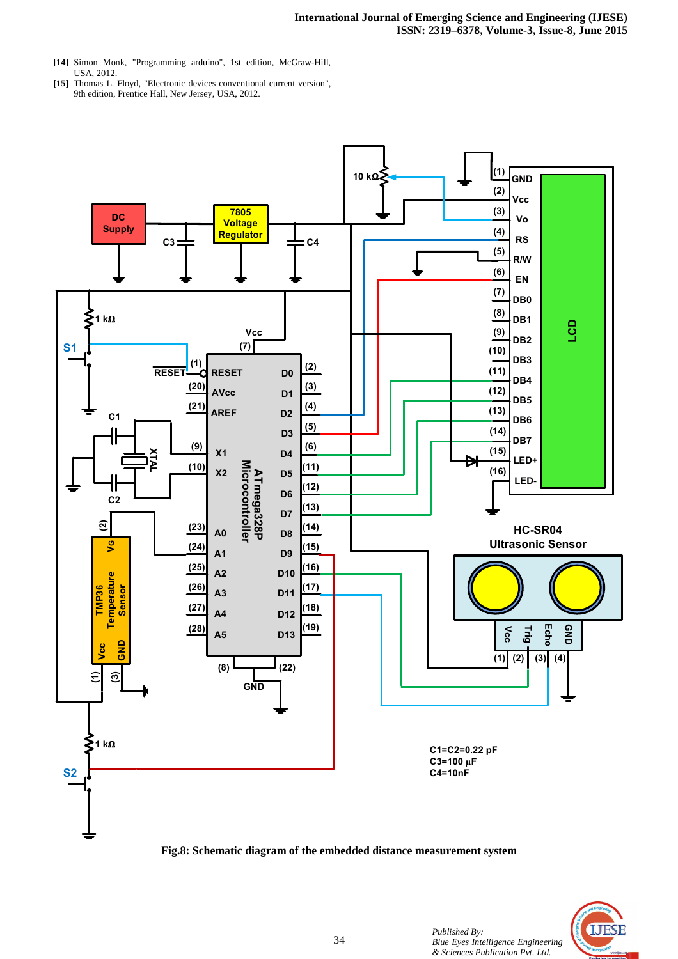- **[14]** Simon Monk, "Programming arduino", 1st edition, McGraw-Hill, USA, 2012.
- **[15]** Thomas L. Floyd, "Electronic devices conventional current version", 9th edition, Prentice Hall, New Jersey, USA, 2012.



**Fig.8: Schematic diagram of the embedded distance measurement system**

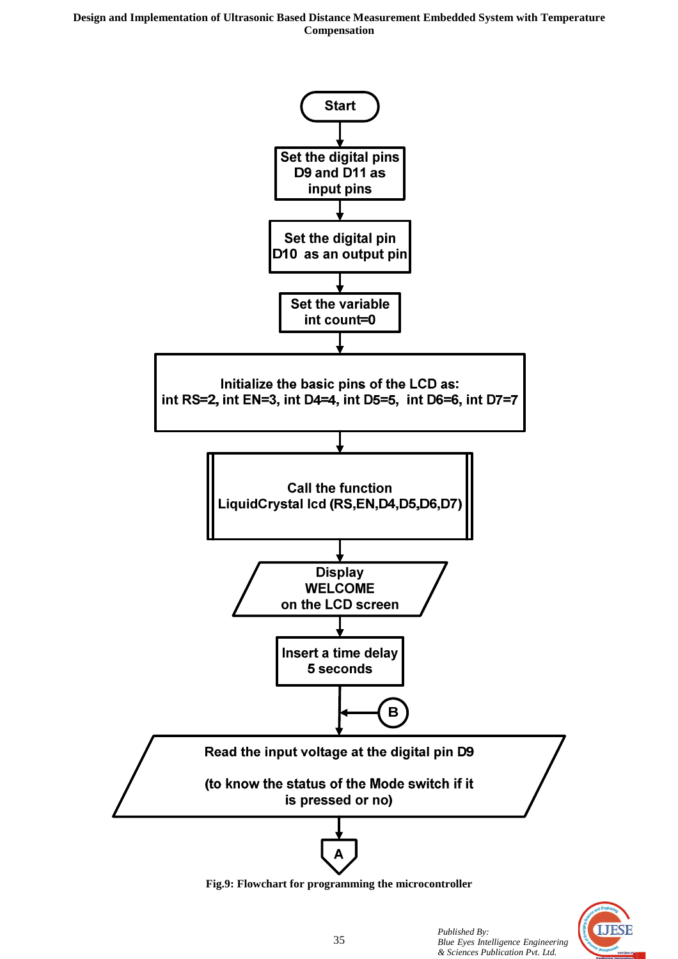**Design and Implementation of Ultrasonic Based Distance Measurement Embedded System with Temperature Compensation** 



**Fig.9: Flowchart for programming the microcontroller**

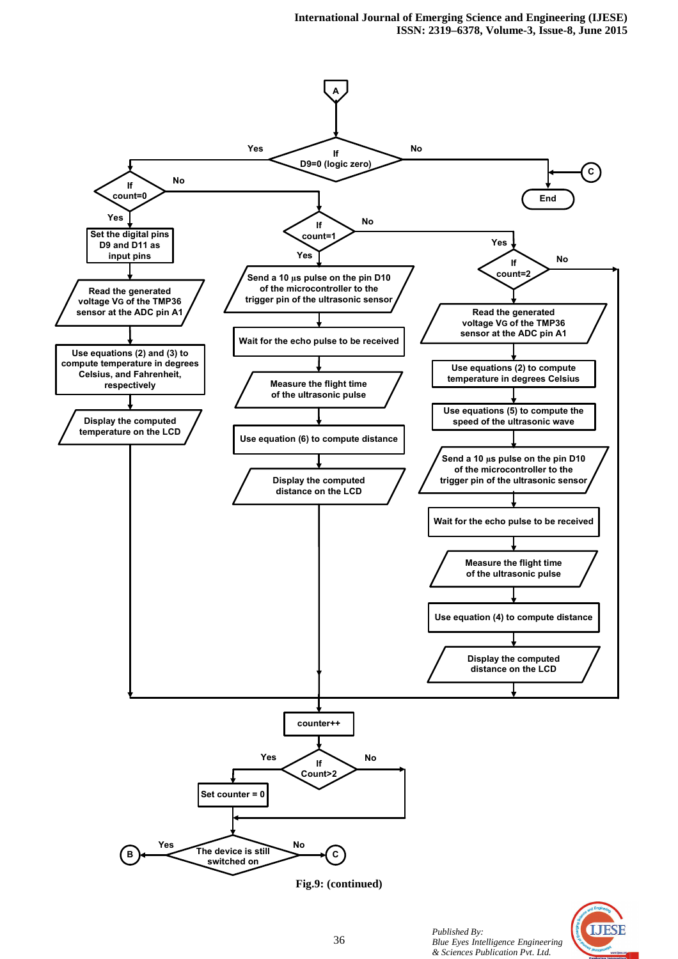